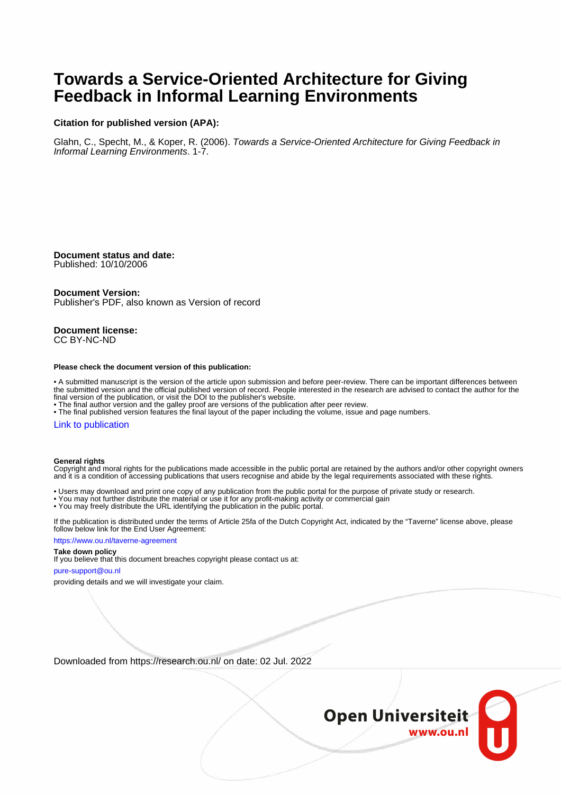# **Towards a Service-Oriented Architecture for Giving Feedback in Informal Learning Environments**

# **Citation for published version (APA):**

Glahn, C., Specht, M., & Koper, R. (2006). Towards a Service-Oriented Architecture for Giving Feedback in Informal Learning Environments. 1-7.

**Document status and date:** Published: 10/10/2006

**Document Version:**

Publisher's PDF, also known as Version of record

**Document license:** CC BY-NC-ND

#### **Please check the document version of this publication:**

• A submitted manuscript is the version of the article upon submission and before peer-review. There can be important differences between the submitted version and the official published version of record. People interested in the research are advised to contact the author for the final version of the publication, or visit the DOI to the publisher's website.

• The final author version and the galley proof are versions of the publication after peer review.

• The final published version features the final layout of the paper including the volume, issue and page numbers.

## [Link to publication](https://research.ou.nl/en/publications/9baf14a0-0eea-493a-be52-d3c895463d9d)

#### **General rights**

Copyright and moral rights for the publications made accessible in the public portal are retained by the authors and/or other copyright owners and it is a condition of accessing publications that users recognise and abide by the legal requirements associated with these rights.

- Users may download and print one copy of any publication from the public portal for the purpose of private study or research.
- You may not further distribute the material or use it for any profit-making activity or commercial gain
- You may freely distribute the URL identifying the publication in the public portal.

If the publication is distributed under the terms of Article 25fa of the Dutch Copyright Act, indicated by the "Taverne" license above, please follow below link for the End User Agreement:

#### https://www.ou.nl/taverne-agreement

# **Take down policy**

If you believe that this document breaches copyright please contact us at:

#### pure-support@ou.nl

providing details and we will investigate your claim.

Downloaded from https://research.ou.nl/ on date: 02 Jul. 2022

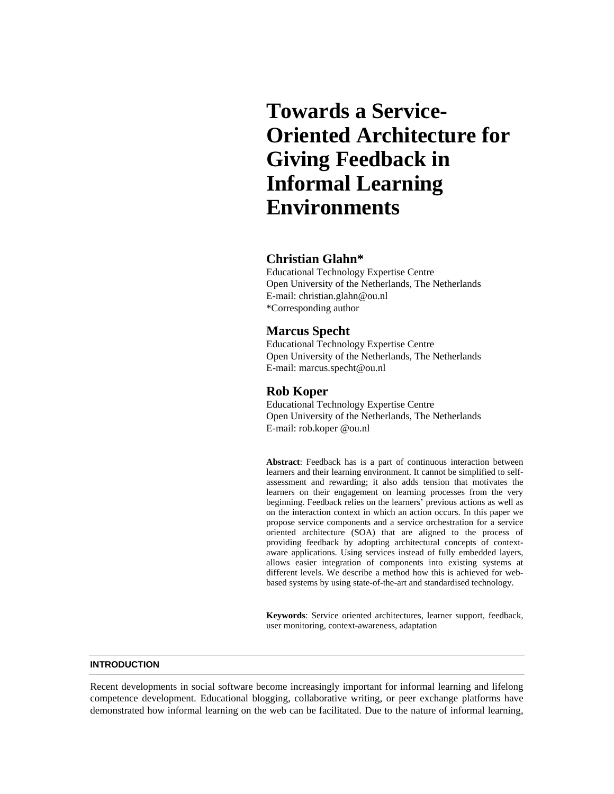# **Towards a Service-Oriented Architecture for Giving Feedback in Informal Learning Environments**

# **Christian Glahn\***

Educational Technology Expertise Centre Open University of the Netherlands, The Netherlands E-mail: christian.glahn@ou.nl \*Corresponding author

# **Marcus Specht**

Educational Technology Expertise Centre Open University of the Netherlands, The Netherlands E-mail: marcus.specht@ou.nl

# **Rob Koper**

Educational Technology Expertise Centre Open University of the Netherlands, The Netherlands E-mail: rob.koper @ou.nl

**Abstract**: Feedback has is a part of continuous interaction between learners and their learning environment. It cannot be simplified to selfassessment and rewarding; it also adds tension that motivates the learners on their engagement on learning processes from the very beginning. Feedback relies on the learners' previous actions as well as on the interaction context in which an action occurs. In this paper we propose service components and a service orchestration for a service oriented architecture (SOA) that are aligned to the process of providing feedback by adopting architectural concepts of contextaware applications. Using services instead of fully embedded layers, allows easier integration of components into existing systems at different levels. We describe a method how this is achieved for webbased systems by using state-of-the-art and standardised technology.

**Keywords**: Service oriented architectures, learner support, feedback, user monitoring, context-awareness, adaptation

# **INTRODUCTION**

Recent developments in social software become increasingly important for informal learning and lifelong competence development. Educational blogging, collaborative writing, or peer exchange platforms have demonstrated how informal learning on the web can be facilitated. Due to the nature of informal learning,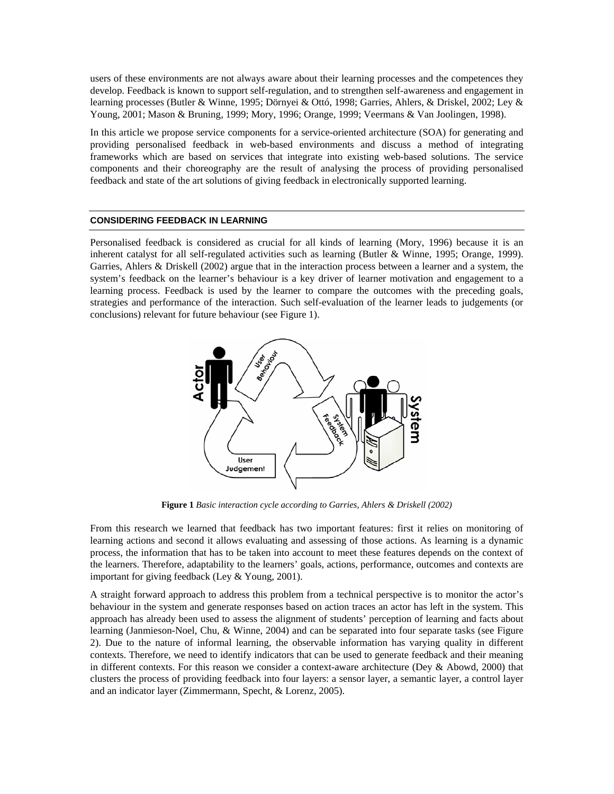users of these environments are not always aware about their learning processes and the competences they develop. Feedback is known to support self-regulation, and to strengthen self-awareness and engagement in learning processes (Butler & Winne, 1995; Dörnyei & Ottó, 1998; Garries, Ahlers, & Driskel, 2002; Ley & Young, 2001; Mason & Bruning, 1999; Mory, 1996; Orange, 1999; Veermans & Van Joolingen, 1998).

In this article we propose service components for a service-oriented architecture (SOA) for generating and providing personalised feedback in web-based environments and discuss a method of integrating frameworks which are based on services that integrate into existing web-based solutions. The service components and their choreography are the result of analysing the process of providing personalised feedback and state of the art solutions of giving feedback in electronically supported learning.

## **CONSIDERING FEEDBACK IN LEARNING**

Personalised feedback is considered as crucial for all kinds of learning (Mory, 1996) because it is an inherent catalyst for all self-regulated activities such as learning (Butler & Winne, 1995; Orange, 1999). Garries, Ahlers & Driskell (2002) argue that in the interaction process between a learner and a system, the system's feedback on the learner's behaviour is a key driver of learner motivation and engagement to a learning process. Feedback is used by the learner to compare the outcomes with the preceding goals, strategies and performance of the interaction. Such self-evaluation of the learner leads to judgements (or conclusions) relevant for future behaviour (see Figure 1).



**Figure 1** *Basic interaction cycle according to Garries, Ahlers & Driskell (2002)* 

From this research we learned that feedback has two important features: first it relies on monitoring of learning actions and second it allows evaluating and assessing of those actions. As learning is a dynamic process, the information that has to be taken into account to meet these features depends on the context of the learners. Therefore, adaptability to the learners' goals, actions, performance, outcomes and contexts are important for giving feedback (Ley & Young, 2001).

A straight forward approach to address this problem from a technical perspective is to monitor the actor's behaviour in the system and generate responses based on action traces an actor has left in the system. This approach has already been used to assess the alignment of students' perception of learning and facts about learning (Janmieson-Noel, Chu, & Winne, 2004) and can be separated into four separate tasks (see Figure 2). Due to the nature of informal learning, the observable information has varying quality in different contexts. Therefore, we need to identify indicators that can be used to generate feedback and their meaning in different contexts. For this reason we consider a context-aware architecture (Dey & Abowd, 2000) that clusters the process of providing feedback into four layers: a sensor layer, a semantic layer, a control layer and an indicator layer (Zimmermann, Specht, & Lorenz, 2005).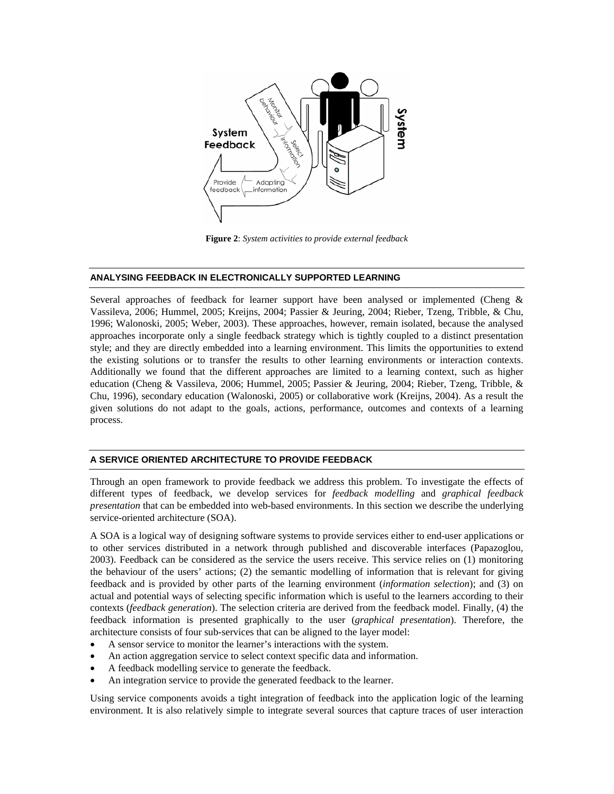

**Figure 2**: *System activities to provide external feedback* 

# **ANALYSING FEEDBACK IN ELECTRONICALLY SUPPORTED LEARNING**

Several approaches of feedback for learner support have been analysed or implemented (Cheng & Vassileva, 2006; Hummel, 2005; Kreijns, 2004; Passier & Jeuring, 2004; Rieber, Tzeng, Tribble, & Chu, 1996; Walonoski, 2005; Weber, 2003). These approaches, however, remain isolated, because the analysed approaches incorporate only a single feedback strategy which is tightly coupled to a distinct presentation style; and they are directly embedded into a learning environment. This limits the opportunities to extend the existing solutions or to transfer the results to other learning environments or interaction contexts. Additionally we found that the different approaches are limited to a learning context, such as higher education (Cheng & Vassileva, 2006; Hummel, 2005; Passier & Jeuring, 2004; Rieber, Tzeng, Tribble, & Chu, 1996), secondary education (Walonoski, 2005) or collaborative work (Kreijns, 2004). As a result the given solutions do not adapt to the goals, actions, performance, outcomes and contexts of a learning process.

# **A SERVICE ORIENTED ARCHITECTURE TO PROVIDE FEEDBACK**

Through an open framework to provide feedback we address this problem. To investigate the effects of different types of feedback, we develop services for *feedback modelling* and *graphical feedback presentation* that can be embedded into web-based environments. In this section we describe the underlying service-oriented architecture (SOA).

A SOA is a logical way of designing software systems to provide services either to end-user applications or to other services distributed in a network through published and discoverable interfaces (Papazoglou, 2003). Feedback can be considered as the service the users receive. This service relies on (1) monitoring the behaviour of the users' actions; (2) the semantic modelling of information that is relevant for giving feedback and is provided by other parts of the learning environment (*information selection*); and (3) on actual and potential ways of selecting specific information which is useful to the learners according to their contexts (*feedback generation*). The selection criteria are derived from the feedback model. Finally, (4) the feedback information is presented graphically to the user (*graphical presentation*). Therefore, the architecture consists of four sub-services that can be aligned to the layer model:

- A sensor service to monitor the learner's interactions with the system.
- An action aggregation service to select context specific data and information.
- A feedback modelling service to generate the feedback.
- An integration service to provide the generated feedback to the learner.

Using service components avoids a tight integration of feedback into the application logic of the learning environment. It is also relatively simple to integrate several sources that capture traces of user interaction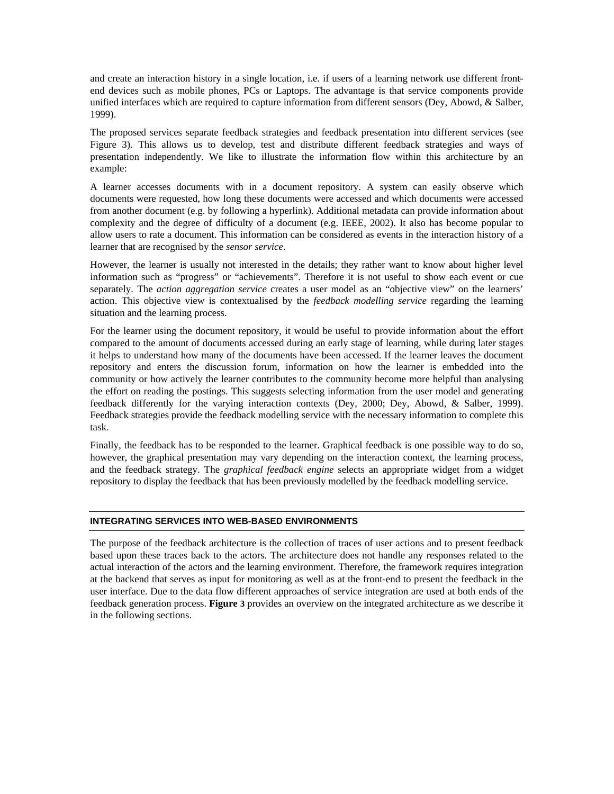and create an interaction history in a single location, i.e. if users of a learning network use different frontend devices such as mobile phones, PCs or Laptops. The advantage is that service components provide unified interfaces which are required to capture information from different sensors (Dey, Abowd, & Salber, 1999).

The proposed services separate feedback strategies and feedback presentation into different services (see Figure 3). This allows us to develop, test and distribute different feedback strategies and ways of presentation independently. We like to illustrate the information flow within this architecture by an example:

A learner accesses documents with in a document repository. A system can easily observe which documents were requested, how long these documents were accessed and which documents were accessed from another document (e.g. by following a hyperlink). Additional metadata can provide information about complexity and the degree of difficulty of a document (e.g. IEEE, 2002). It also has become popular to allow users to rate a document. This information can be considered as events in the interaction history of a learner that are recognised by the *sensor service*.

However, the learner is usually not interested in the details; they rather want to know about higher level information such as "progress" or "achievements". Therefore it is not useful to show each event or cue separately. The *action aggregation service* creates a user model as an "objective view" on the learners' action. This objective view is contextualised by the *feedback modelling service* regarding the learning situation and the learning process.

For the learner using the document repository, it would be useful to provide information about the effort compared to the amount of documents accessed during an early stage of learning, while during later stages it helps to understand how many of the documents have been accessed. If the learner leaves the document repository and enters the discussion forum, information on how the learner is embedded into the community or how actively the learner contributes to the community become more helpful than analysing the effort on reading the postings. This suggests selecting information from the user model and generating feedback differently for the varying interaction contexts (Dey, 2000; Dey, Abowd, & Salber, 1999). Feedback strategies provide the feedback modelling service with the necessary information to complete this task.

Finally, the feedback has to be responded to the learner. Graphical feedback is one possible way to do so, however, the graphical presentation may vary depending on the interaction context, the learning process, and the feedback strategy. The *graphical feedback engine* selects an appropriate widget from a widget repository to display the feedback that has been previously modelled by the feedback modelling service.

# **INTEGRATING SERVICES INTO WEB-BASED ENVIRONMENTS**

The purpose of the feedback architecture is the collection of traces of user actions and to present feedback based upon these traces back to the actors. The architecture does not handle any responses related to the actual interaction of the actors and the learning environment. Therefore, the framework requires integration at the backend that serves as input for monitoring as well as at the front-end to present the feedback in the user interface. Due to the data flow different approaches of service integration are used at both ends of the feedback generation process. **Figure 3** provides an overview on the integrated architecture as we describe it in the following sections.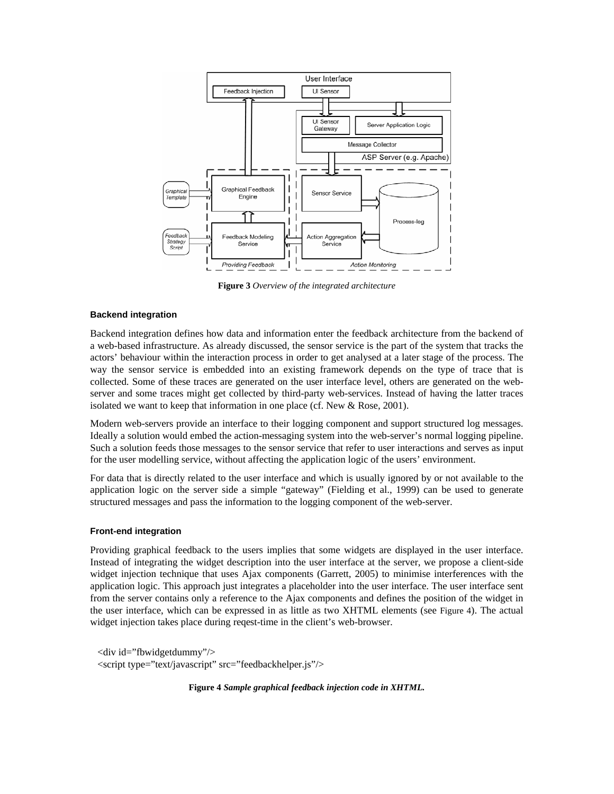

**Figure 3** *Overview of the integrated architecture* 

## **Backend integration**

Backend integration defines how data and information enter the feedback architecture from the backend of a web-based infrastructure. As already discussed, the sensor service is the part of the system that tracks the actors' behaviour within the interaction process in order to get analysed at a later stage of the process. The way the sensor service is embedded into an existing framework depends on the type of trace that is collected. Some of these traces are generated on the user interface level, others are generated on the webserver and some traces might get collected by third-party web-services. Instead of having the latter traces isolated we want to keep that information in one place (cf. New & Rose, 2001).

Modern web-servers provide an interface to their logging component and support structured log messages. Ideally a solution would embed the action-messaging system into the web-server's normal logging pipeline. Such a solution feeds those messages to the sensor service that refer to user interactions and serves as input for the user modelling service, without affecting the application logic of the users' environment.

For data that is directly related to the user interface and which is usually ignored by or not available to the application logic on the server side a simple "gateway" (Fielding et al., 1999) can be used to generate structured messages and pass the information to the logging component of the web-server.

#### **Front-end integration**

Providing graphical feedback to the users implies that some widgets are displayed in the user interface. Instead of integrating the widget description into the user interface at the server, we propose a client-side widget injection technique that uses Ajax components (Garrett, 2005) to minimise interferences with the application logic. This approach just integrates a placeholder into the user interface. The user interface sent from the server contains only a reference to the Ajax components and defines the position of the widget in the user interface, which can be expressed in as little as two XHTML elements (see Figure 4). The actual widget injection takes place during reqest-time in the client's web-browser.

<div id="fbwidgetdummy"/> <script type="text/javascript" src="feedbackhelper.js"/>

**Figure 4** *Sample graphical feedback injection code in XHTML.*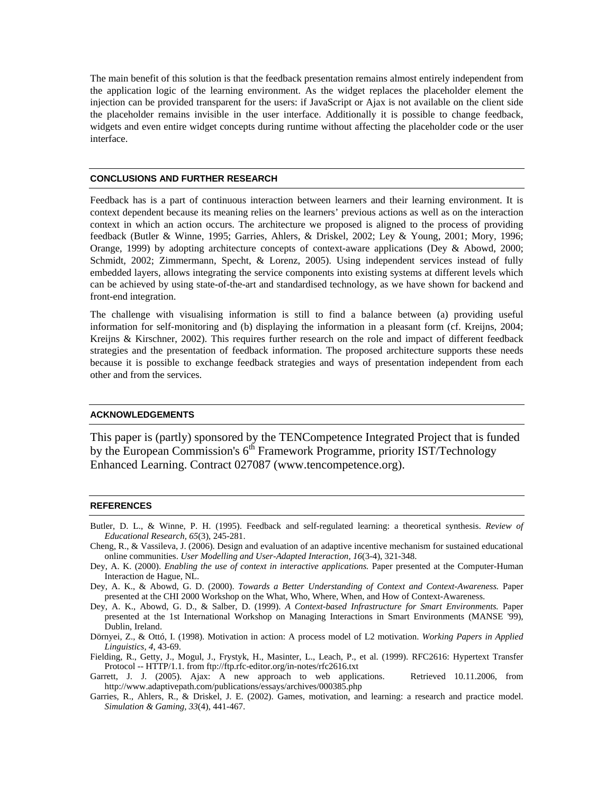The main benefit of this solution is that the feedback presentation remains almost entirely independent from the application logic of the learning environment. As the widget replaces the placeholder element the injection can be provided transparent for the users: if JavaScript or Ajax is not available on the client side the placeholder remains invisible in the user interface. Additionally it is possible to change feedback, widgets and even entire widget concepts during runtime without affecting the placeholder code or the user interface.

#### **CONCLUSIONS AND FURTHER RESEARCH**

Feedback has is a part of continuous interaction between learners and their learning environment. It is context dependent because its meaning relies on the learners' previous actions as well as on the interaction context in which an action occurs. The architecture we proposed is aligned to the process of providing feedback (Butler & Winne, 1995; Garries, Ahlers, & Driskel, 2002; Ley & Young, 2001; Mory, 1996; Orange, 1999) by adopting architecture concepts of context-aware applications (Dey & Abowd, 2000; Schmidt, 2002; Zimmermann, Specht, & Lorenz, 2005). Using independent services instead of fully embedded layers, allows integrating the service components into existing systems at different levels which can be achieved by using state-of-the-art and standardised technology, as we have shown for backend and front-end integration.

The challenge with visualising information is still to find a balance between (a) providing useful information for self-monitoring and (b) displaying the information in a pleasant form (cf. Kreijns, 2004; Kreijns & Kirschner, 2002). This requires further research on the role and impact of different feedback strategies and the presentation of feedback information. The proposed architecture supports these needs because it is possible to exchange feedback strategies and ways of presentation independent from each other and from the services.

#### **ACKNOWLEDGEMENTS**

This paper is (partly) sponsored by the TENCompetence Integrated Project that is funded by the European Commission's  $6<sup>th</sup>$  Framework Programme, priority IST/Technology Enhanced Learning. Contract 027087 (www.tencompetence.org).

#### **REFERENCES**

- Butler, D. L., & Winne, P. H. (1995). Feedback and self-regulated learning: a theoretical synthesis. *Review of Educational Research, 65*(3), 245-281.
- Cheng, R., & Vassileva, J. (2006). Design and evaluation of an adaptive incentive mechanism for sustained educational online communities. *User Modelling and User-Adapted Interaction, 16*(3-4), 321-348.
- Dey, A. K. (2000). *Enabling the use of context in interactive applications.* Paper presented at the Computer-Human Interaction de Hague, NL.
- Dey, A. K., & Abowd, G. D. (2000). *Towards a Better Understanding of Context and Context-Awareness.* Paper presented at the CHI 2000 Workshop on the What, Who, Where, When, and How of Context-Awareness.
- Dey, A. K., Abowd, G. D., & Salber, D. (1999). *A Context-based Infrastructure for Smart Environments.* Paper presented at the 1st International Workshop on Managing Interactions in Smart Environments (MANSE '99), Dublin, Ireland.
- Dörnyei, Z., & Ottó, I. (1998). Motivation in action: A process model of L2 motivation. *Working Papers in Applied Linguistics, 4*, 43-69.
- Fielding, R., Getty, J., Mogul, J., Frystyk, H., Masinter, L., Leach, P., et al. (1999). RFC2616: Hypertext Transfer Protocol -- HTTP/1.1. from ftp://ftp.rfc-editor.org/in-notes/rfc2616.txt
- Garrett, J. J. (2005). Ajax: A new approach to web applications. Retrieved 10.11.2006, from http://www.adaptivepath.com/publications/essays/archives/000385.php
- Garries, R., Ahlers, R., & Driskel, J. E. (2002). Games, motivation, and learning: a research and practice model. *Simulation & Gaming, 33*(4), 441-467.